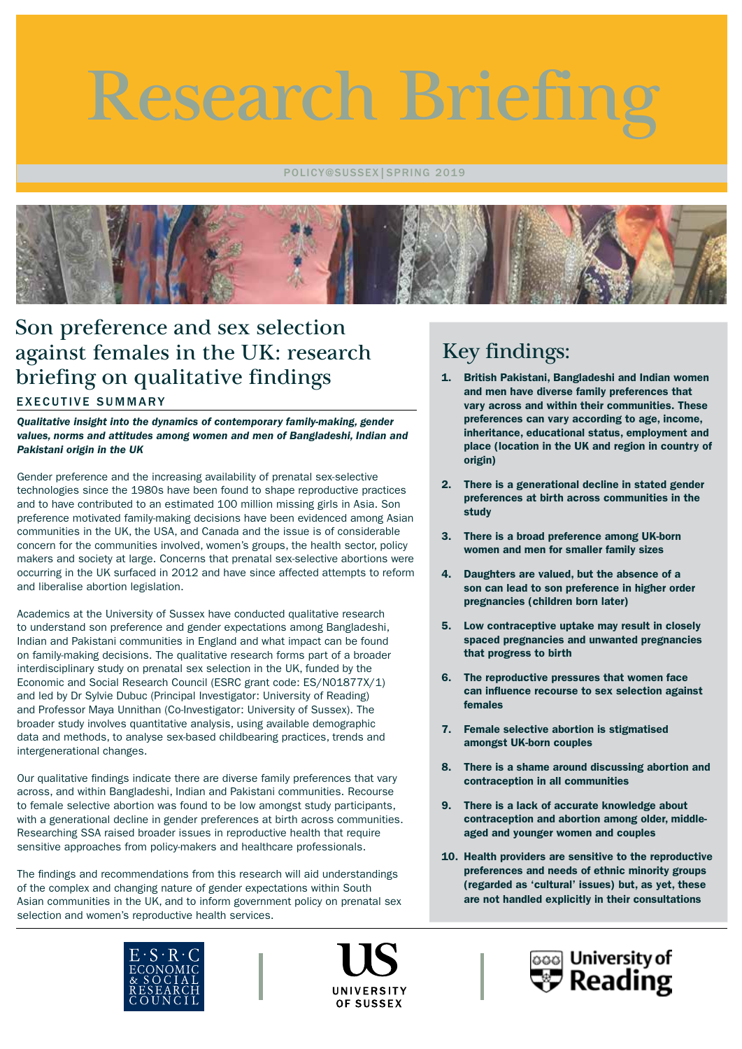Research Briefing

POLICY@SUSSEX|SPRING 2019



# EXECUTIVE SUMMARY Son preference and sex selection against females in the UK: research briefing on qualitative findings

*Qualitative insight into the dynamics of contemporary family-making, gender values, norms and attitudes among women and men of Bangladeshi, Indian and Pakistani origin in the UK*

Gender preference and the increasing availability of prenatal sex-selective technologies since the 1980s have been found to shape reproductive practices and to have contributed to an estimated 100 million missing girls in Asia. Son preference motivated family-making decisions have been evidenced among Asian communities in the UK, the USA, and Canada and the issue is of considerable concern for the communities involved, women's groups, the health sector, policy makers and society at large. Concerns that prenatal sex-selective abortions were occurring in the UK surfaced in 2012 and have since affected attempts to reform and liberalise abortion legislation.

Academics at the University of Sussex have conducted qualitative research to understand son preference and gender expectations among Bangladeshi, Indian and Pakistani communities in England and what impact can be found on family-making decisions. The qualitative research forms part of a broader interdisciplinary study on prenatal sex selection in the UK, funded by the Economic and Social Research Council (ESRC grant code: ES/N01877X/1) and led by Dr Sylvie Dubuc (Principal Investigator: University of Reading) and Professor Maya Unnithan (Co-Investigator: University of Sussex). The broader study involves quantitative analysis, using available demographic data and methods, to analyse sex-based childbearing practices, trends and intergenerational changes.

Our qualitative findings indicate there are diverse family preferences that vary across, and within Bangladeshi, Indian and Pakistani communities. Recourse to female selective abortion was found to be low amongst study participants, with a generational decline in gender preferences at birth across communities. Researching SSA raised broader issues in reproductive health that require sensitive approaches from policy-makers and healthcare professionals.

The findings and recommendations from this research will aid understandings of the complex and changing nature of gender expectations within South Asian communities in the UK, and to inform government policy on prenatal sex selection and women's reproductive health services.





# Key findings:

- 1. British Pakistani, Bangladeshi and Indian women and men have diverse family preferences that vary across and within their communities. These preferences can vary according to age, income, inheritance, educational status, employment and place (location in the UK and region in country of origin)
- 2. There is a generational decline in stated gender preferences at birth across communities in the study
- 3. There is a broad preference among UK-born women and men for smaller family sizes
- 4. Daughters are valued, but the absence of a son can lead to son preference in higher order pregnancies (children born later)
- 5. Low contraceptive uptake may result in closely spaced pregnancies and unwanted pregnancies that progress to birth
- 6. The reproductive pressures that women face can influence recourse to sex selection against females
- 7. Female selective abortion is stigmatised amongst UK-born couples
- 8. There is a shame around discussing abortion and contraception in all communities
- 9. There is a lack of accurate knowledge about contraception and abortion among older, middleaged and younger women and couples
- 10. Health providers are sensitive to the reproductive preferences and needs of ethnic minority groups (regarded as 'cultural' issues) but, as yet, these are not handled explicitly in their consultations

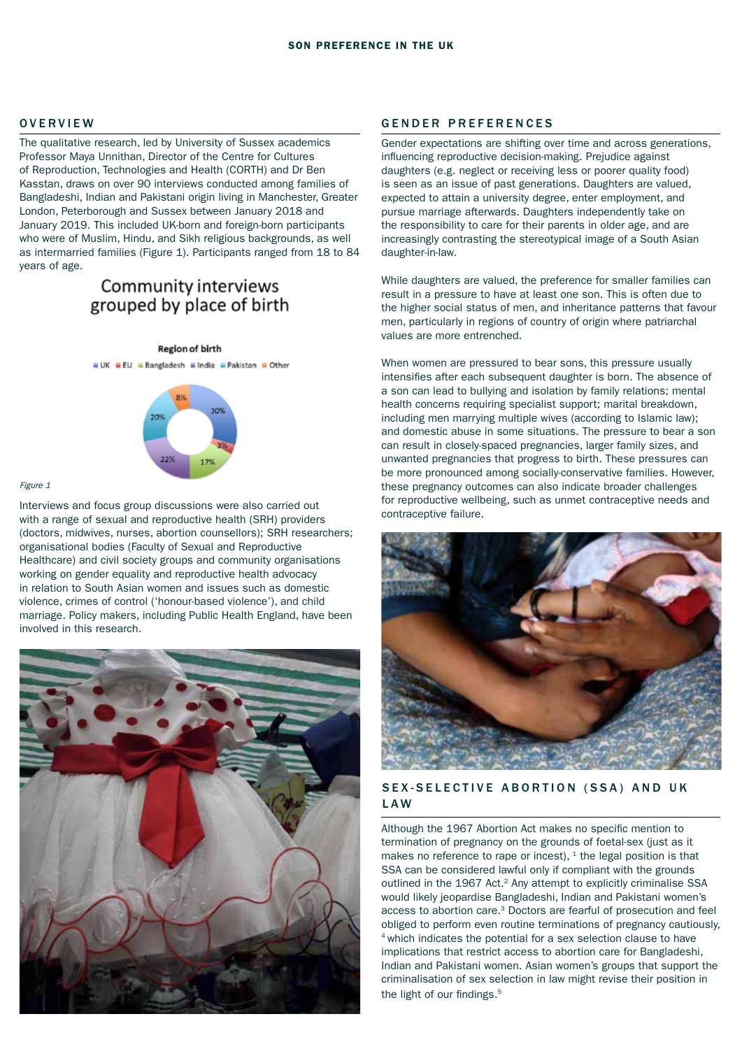The qualitative research, led by University of Sussex academics Professor Maya Unnithan, Director of the Centre for Cultures of Reproduction, Technologies and Health (CORTH) and Dr Ben Kasstan, draws on over 90 interviews conducted among families of Bangladeshi, Indian and Pakistani origin living in Manchester, Greater London, Peterborough and Sussex between January 2018 and January 2019. This included UK-born and foreign-born participants who were of Muslim, Hindu, and Sikh religious backgrounds, as well as intermarried families (Figure 1). Participants ranged from 18 to 84 years of age.

# Community interviews grouped by place of birth

**Region of birth** UK EU Bangladesh Eindia EPakistan EOther



#### Figure 1

Interviews and focus group discussions were also carried out with a range of sexual and reproductive health (SRH) providers (doctors, midwives, nurses, abortion counsellors); SRH researchers; organisational bodies (Faculty of Sexual and Reproductive Healthcare) and civil society groups and community organisations working on gender equality and reproductive health advocacy in relation to South Asian women and issues such as domestic violence, crimes of control ('honour-based violence'), and child marriage. Policy makers, including Public Health England, have been involved in this research.



## OVERVIEW GENDER PREFERENCES

Gender expectations are shifting over time and across generations, influencing reproductive decision-making. Prejudice against daughters (e.g. neglect or receiving less or poorer quality food) is seen as an issue of past generations. Daughters are valued, expected to attain a university degree, enter employment, and pursue marriage afterwards. Daughters independently take on the responsibility to care for their parents in older age, and are increasingly contrasting the stereotypical image of a South Asian daughter-in-law.

While daughters are valued, the preference for smaller families can result in a pressure to have at least one son. This is often due to the higher social status of men, and inheritance patterns that favour men, particularly in regions of country of origin where patriarchal values are more entrenched.

When women are pressured to bear sons, this pressure usually intensifies after each subsequent daughter is born. The absence of a son can lead to bullying and isolation by family relations; mental health concerns requiring specialist support; marital breakdown, including men marrying multiple wives (according to Islamic law); and domestic abuse in some situations. The pressure to bear a son can result in closely-spaced pregnancies, larger family sizes, and unwanted pregnancies that progress to birth. These pressures can be more pronounced among socially-conservative families. However, these pregnancy outcomes can also indicate broader challenges for reproductive wellbeing, such as unmet contraceptive needs and contraceptive failure.



## SEX-SELECTIVE ABORTION (SSA) AND UK LAW

Although the 1967 Abortion Act makes no specific mention to termination of pregnancy on the grounds of foetal-sex (just as it makes no reference to rape or incest),  $1$  the legal position is that SSA can be considered lawful only if compliant with the grounds outlined in the 1967 Act.<sup>2</sup> Any attempt to explicitly criminalise SSA would likely jeopardise Bangladeshi, Indian and Pakistani women's access to abortion care.3 Doctors are fearful of prosecution and feel obliged to perform even routine terminations of pregnancy cautiously, 4 which indicates the potential for a sex selection clause to have implications that restrict access to abortion care for Bangladeshi, Indian and Pakistani women. Asian women's groups that support the criminalisation of sex selection in law might revise their position in the light of our findings.<sup>5</sup>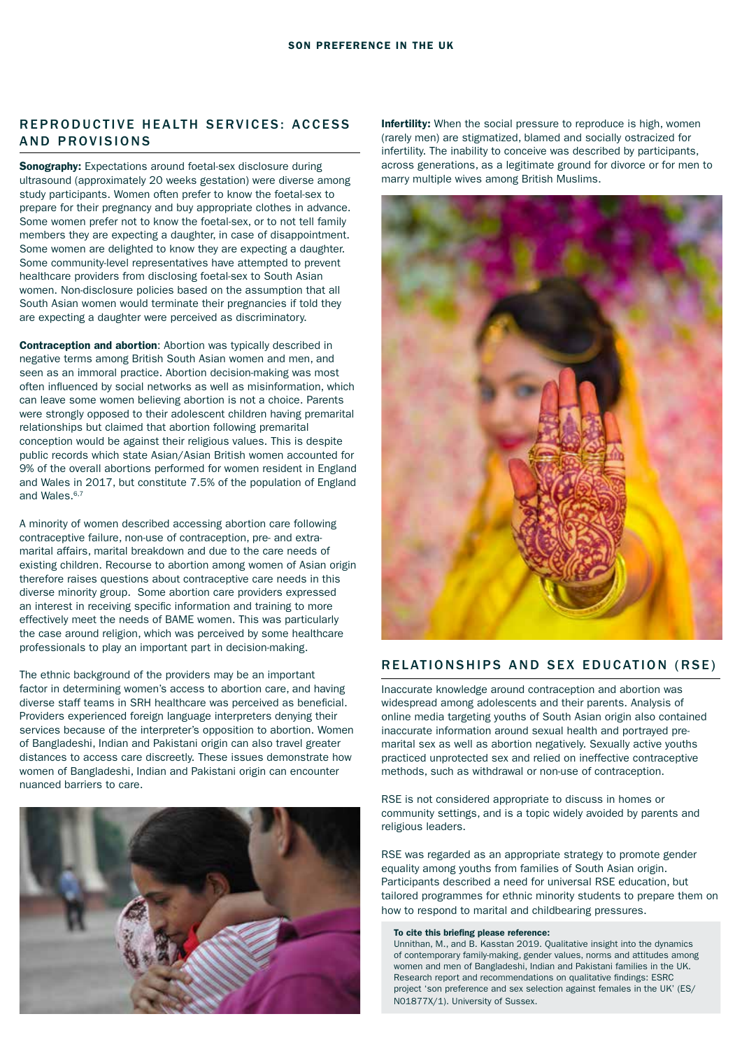# REPRODUCTIVE HEALTH SERVICES: ACCESS AND PROVISIONS

**Sonography:** Expectations around foetal-sex disclosure during ultrasound (approximately 20 weeks gestation) were diverse among study participants. Women often prefer to know the foetal-sex to prepare for their pregnancy and buy appropriate clothes in advance. Some women prefer not to know the foetal-sex, or to not tell family members they are expecting a daughter, in case of disappointment. Some women are delighted to know they are expecting a daughter. Some community-level representatives have attempted to prevent healthcare providers from disclosing foetal-sex to South Asian women. Non-disclosure policies based on the assumption that all South Asian women would terminate their pregnancies if told they are expecting a daughter were perceived as discriminatory.

Contraception and abortion: Abortion was typically described in negative terms among British South Asian women and men, and seen as an immoral practice. Abortion decision-making was most often influenced by social networks as well as misinformation, which can leave some women believing abortion is not a choice. Parents were strongly opposed to their adolescent children having premarital relationships but claimed that abortion following premarital conception would be against their religious values. This is despite public records which state Asian/Asian British women accounted for 9% of the overall abortions performed for women resident in England and Wales in 2017, but constitute 7.5% of the population of England and Wales.<sup>6,7</sup>

A minority of women described accessing abortion care following contraceptive failure, non-use of contraception, pre- and extramarital affairs, marital breakdown and due to the care needs of existing children. Recourse to abortion among women of Asian origin therefore raises questions about contraceptive care needs in this diverse minority group. Some abortion care providers expressed an interest in receiving specific information and training to more effectively meet the needs of BAME women. This was particularly the case around religion, which was perceived by some healthcare professionals to play an important part in decision-making.

The ethnic background of the providers may be an important factor in determining women's access to abortion care, and having diverse staff teams in SRH healthcare was perceived as beneficial. Providers experienced foreign language interpreters denying their services because of the interpreter's opposition to abortion. Women of Bangladeshi, Indian and Pakistani origin can also travel greater distances to access care discreetly. These issues demonstrate how women of Bangladeshi, Indian and Pakistani origin can encounter nuanced barriers to care.



Infertility: When the social pressure to reproduce is high, women (rarely men) are stigmatized, blamed and socially ostracized for infertility. The inability to conceive was described by participants, across generations, as a legitimate ground for divorce or for men to marry multiple wives among British Muslims.



## RELATIONSHIPS AND SEX EDUCATION (RSE)

Inaccurate knowledge around contraception and abortion was widespread among adolescents and their parents. Analysis of online media targeting youths of South Asian origin also contained inaccurate information around sexual health and portrayed premarital sex as well as abortion negatively. Sexually active youths practiced unprotected sex and relied on ineffective contraceptive methods, such as withdrawal or non-use of contraception.

RSE is not considered appropriate to discuss in homes or community settings, and is a topic widely avoided by parents and religious leaders.

RSE was regarded as an appropriate strategy to promote gender equality among youths from families of South Asian origin. Participants described a need for universal RSE education, but tailored programmes for ethnic minority students to prepare them on how to respond to marital and childbearing pressures.

#### To cite this briefing please reference:

Unnithan, M., and B. Kasstan 2019. Qualitative insight into the dynamics of contemporary family-making, gender values, norms and attitudes among women and men of Bangladeshi, Indian and Pakistani families in the UK. Research report and recommendations on qualitative findings: ESRC project 'son preference and sex selection against females in the UK' (ES/ N01877X/1). University of Sussex.